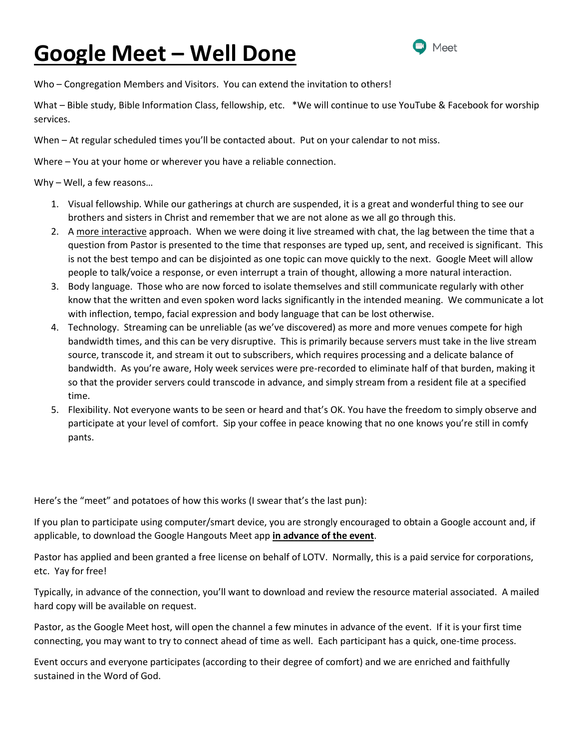# **Google Meet – Well Done**



Who – Congregation Members and Visitors. You can extend the invitation to others!

What – Bible study, Bible Information Class, fellowship, etc. \*We will continue to use YouTube & Facebook for worship services.

When – At regular scheduled times you'll be contacted about. Put on your calendar to not miss.

Where – You at your home or wherever you have a reliable connection.

Why – Well, a few reasons…

- 1. Visual fellowship. While our gatherings at church are suspended, it is a great and wonderful thing to see our brothers and sisters in Christ and remember that we are not alone as we all go through this.
- 2. A more interactive approach. When we were doing it live streamed with chat, the lag between the time that a question from Pastor is presented to the time that responses are typed up, sent, and received is significant. This is not the best tempo and can be disjointed as one topic can move quickly to the next. Google Meet will allow people to talk/voice a response, or even interrupt a train of thought, allowing a more natural interaction.
- 3. Body language. Those who are now forced to isolate themselves and still communicate regularly with other know that the written and even spoken word lacks significantly in the intended meaning. We communicate a lot with inflection, tempo, facial expression and body language that can be lost otherwise.
- 4. Technology. Streaming can be unreliable (as we've discovered) as more and more venues compete for high bandwidth times, and this can be very disruptive. This is primarily because servers must take in the live stream source, transcode it, and stream it out to subscribers, which requires processing and a delicate balance of bandwidth. As you're aware, Holy week services were pre-recorded to eliminate half of that burden, making it so that the provider servers could transcode in advance, and simply stream from a resident file at a specified time.
- 5. Flexibility. Not everyone wants to be seen or heard and that's OK. You have the freedom to simply observe and participate at your level of comfort. Sip your coffee in peace knowing that no one knows you're still in comfy pants.

Here's the "meet" and potatoes of how this works (I swear that's the last pun):

If you plan to participate using computer/smart device, you are strongly encouraged to obtain a Google account and, if applicable, to download the Google Hangouts Meet app **in advance of the event**.

Pastor has applied and been granted a free license on behalf of LOTV. Normally, this is a paid service for corporations, etc. Yay for free!

Typically, in advance of the connection, you'll want to download and review the resource material associated. A mailed hard copy will be available on request.

Pastor, as the Google Meet host, will open the channel a few minutes in advance of the event. If it is your first time connecting, you may want to try to connect ahead of time as well. Each participant has a quick, one-time process.

Event occurs and everyone participates (according to their degree of comfort) and we are enriched and faithfully sustained in the Word of God.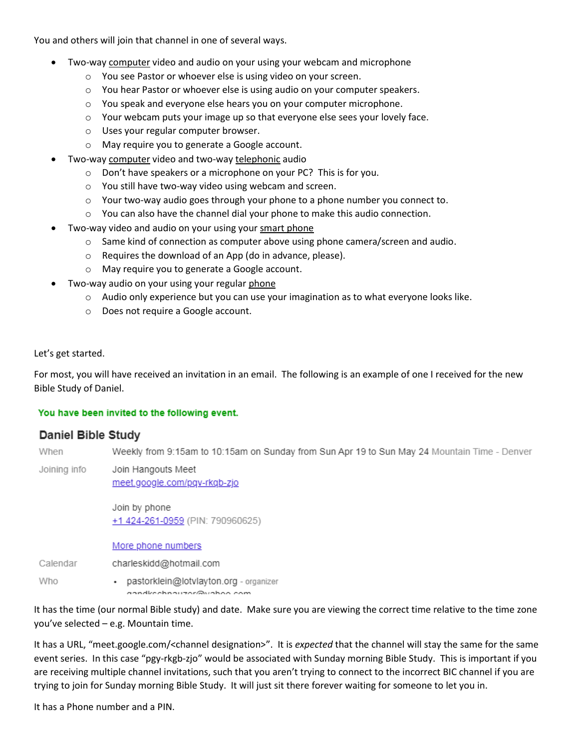You and others will join that channel in one of several ways.

- Two-way computer video and audio on your using your webcam and microphone
	- o You see Pastor or whoever else is using video on your screen.
	- $\circ$  You hear Pastor or whoever else is using audio on your computer speakers.
	- o You speak and everyone else hears you on your computer microphone.
	- o Your webcam puts your image up so that everyone else sees your lovely face.
	- o Uses your regular computer browser.
	- o May require you to generate a Google account.
- Two-way computer video and two-way telephonic audio
	- o Don't have speakers or a microphone on your PC? This is for you.
	- o You still have two-way video using webcam and screen.
	- $\circ$  Your two-way audio goes through your phone to a phone number you connect to.
	- o You can also have the channel dial your phone to make this audio connection.
- Two-way video and audio on your using your smart phone
	- $\circ$  Same kind of connection as computer above using phone camera/screen and audio.
	- o Requires the download of an App (do in advance, please).
	- o May require you to generate a Google account.
- Two-way audio on your using your regular phone
	- $\circ$  Audio only experience but you can use your imagination as to what everyone looks like.
	- o Does not require a Google account.

## Let's get started.

For most, you will have received an invitation in an email. The following is an example of one I received for the new Bible Study of Daniel.

#### You have been invited to the following event.

## Daniel Bible Study

When Weekly from 9:15am to 10:15am on Sunday from Sun Apr 19 to Sun May 24 Mountain Time - Denver

Joining info Join Hangouts Meet meet.google.com/pqv-rkqb-zjo

> Join by phone +1 424-261-0959 (PIN: 790960625)

More phone numbers

Calendar charleskidd@hotmail.com

Who · pastorklein@lotvlayton.org - organizer anndkeebnauzor@uaboo.com

It has the time (our normal Bible study) and date. Make sure you are viewing the correct time relative to the time zone you've selected – e.g. Mountain time.

It has a URL, "meet.google.com/<channel designation>". It is *expected* that the channel will stay the same for the same event series. In this case "pgy-rkgb-zjo" would be associated with Sunday morning Bible Study. This is important if you are receiving multiple channel invitations, such that you aren't trying to connect to the incorrect BIC channel if you are trying to join for Sunday morning Bible Study. It will just sit there forever waiting for someone to let you in.

It has a Phone number and a PIN.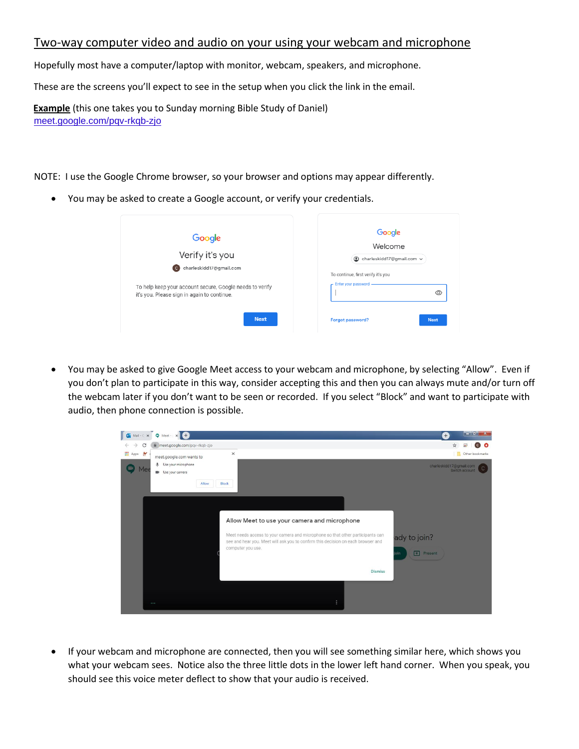# Two-way computer video and audio on your using your webcam and microphone

Hopefully most have a computer/laptop with monitor, webcam, speakers, and microphone.

These are the screens you'll expect to see in the setup when you click the link in the email.

**Example**(this one takes you to Sunday morning Bible Study of Daniel) [meet.google.com/pqv-rkqb-zjo](https://meet.google.com/pqv-rkqb-zjo)

NOTE: I use the Google Chrome browser, so your browser and options may appear differently.

• You may be asked to create a Google account, or verify your credentials.

| Google<br>Verify it's you<br>charleskidd17@gmail.com<br>(C)<br>To help keep your account secure, Google needs to verify<br>it's you. Please sign in again to continue. | Google<br>Welcome<br>charleskidd17@gmail.com v<br>◉<br>To continue, first verify it's you<br>Enter your password<br>$\circledcirc$ |
|------------------------------------------------------------------------------------------------------------------------------------------------------------------------|------------------------------------------------------------------------------------------------------------------------------------|
| <b>Next</b>                                                                                                                                                            | <b>Next</b><br>Forgot password?                                                                                                    |

• You may be asked to give Google Meet access to your webcam and microphone, by selecting "Allow". Even if you don't plan to participate in this way, consider accepting this and then you can always mute and/or turn off the webcam later if you don't want to be seen or recorded. If you select "Block" and want to participate with audio, then phone connection is possible.



• If your webcam and microphone are connected, then you will see something similar here, which shows you what your webcam sees. Notice also the three little dots in the lower left hand corner. When you speak, you should see this voice meter deflect to show that your audio is received.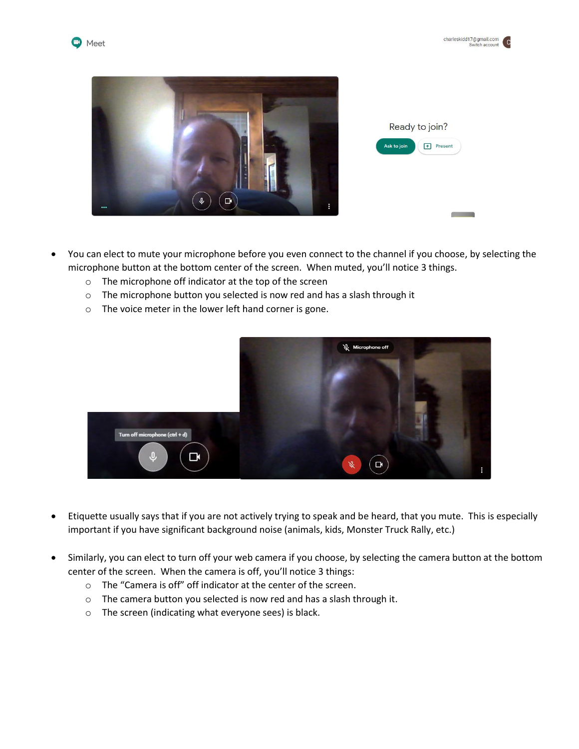





- You can elect to mute your microphone before you even connect to the channel if you choose, by selecting the microphone button at the bottom center of the screen. When muted, you'll notice 3 things.
	- o The microphone off indicator at the top of the screen
	- o The microphone button you selected is now red and has a slash through it
	- o The voice meter in the lower left hand corner is gone.



- Etiquette usually says that if you are not actively trying to speak and be heard, that you mute. This is especially important if you have significant background noise (animals, kids, Monster Truck Rally, etc.)
- Similarly, you can elect to turn off your web camera if you choose, by selecting the camera button at the bottom center of the screen. When the camera is off, you'll notice 3 things:
	- o The "Camera is off" off indicator at the center of the screen.
	- o The camera button you selected is now red and has a slash through it.
	- o The screen (indicating what everyone sees) is black.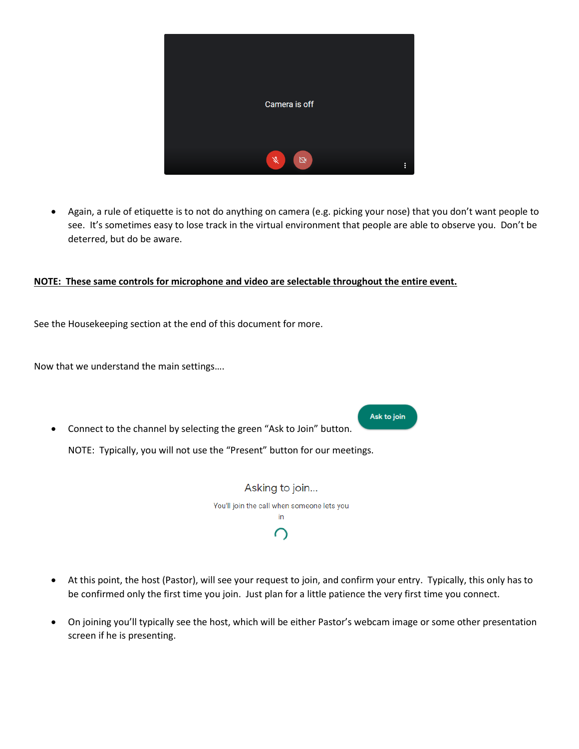

• Again, a rule of etiquette is to not do anything on camera (e.g. picking your nose) that you don't want people to see. It's sometimes easy to lose track in the virtual environment that people are able to observe you. Don't be deterred, but do be aware.

## **NOTE: These same controls for microphone and video are selectable throughout the entire event.**

See the Housekeeping section at the end of this document for more.

Now that we understand the main settings….

• Connect to the channel by selecting the green "Ask to Join" button. NOTE: Typically, you will not use the "Present" button for our meetings.

> Asking to join... You'll join the call when someone lets you in ∩

Ask to join

- At this point, the host (Pastor), will see your request to join, and confirm your entry. Typically, this only has to be confirmed only the first time you join. Just plan for a little patience the very first time you connect.
- On joining you'll typically see the host, which will be either Pastor's webcam image or some other presentation screen if he is presenting.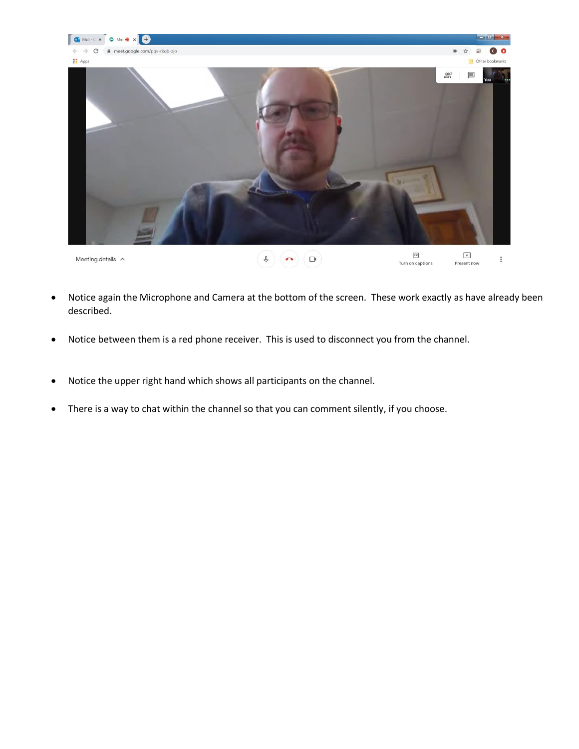

- Notice again the Microphone and Camera at the bottom of the screen. These work exactly as have already been described.
- Notice between them is a red phone receiver. This is used to disconnect you from the channel.
- Notice the upper right hand which shows all participants on the channel.
- There is a way to chat within the channel so that you can comment silently, if you choose.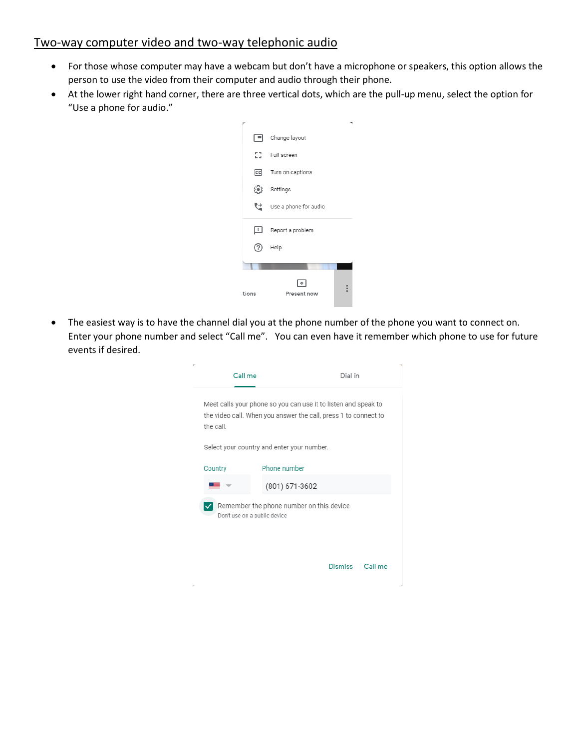# Two-way computer video and two-way telephonic audio

- For those whose computer may have a webcam but don't have a microphone or speakers, this option allows the person to use the video from their computer and audio through their phone.
- At the lower right hand corner, there are three vertical dots, which are the pull-up menu, select the option for "Use a phone for audio."



• The easiest way is to have the channel dial you at the phone number of the phone you want to connect on. Enter your phone number and select "Call me". You can even have it remember which phone to use for future events if desired.

|           | Call me                                                                  | Dial in                                                                                                                           |         |
|-----------|--------------------------------------------------------------------------|-----------------------------------------------------------------------------------------------------------------------------------|---------|
| the call. |                                                                          | Meet calls your phone so you can use it to listen and speak to<br>the video call. When you answer the call, press 1 to connect to |         |
|           | Select your country and enter your number.                               |                                                                                                                                   |         |
| Country   | Phone number                                                             |                                                                                                                                   |         |
|           | (801) 671-3602                                                           |                                                                                                                                   |         |
|           | Remember the phone number on this device<br>Don't use on a public device |                                                                                                                                   |         |
|           |                                                                          | <b>Dismiss</b>                                                                                                                    | Call me |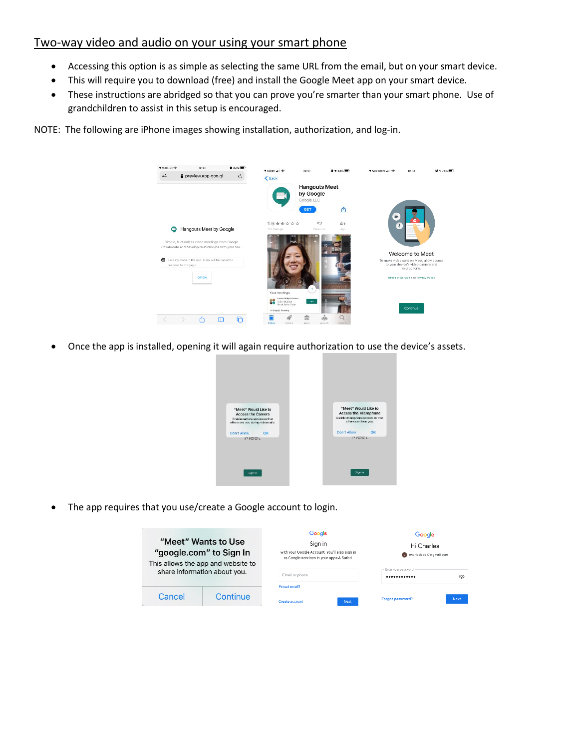# Two-way video and audio on your using your smart phone

- Accessing this option is as simple as selecting the same URL from the email, but on your smart device.
- This will require you to download (free) and install the Google Meet app on your smart device.
- These instructions are abridged so that you can prove you're smarter than your smart phone. Use of grandchildren to assist in this setup is encouraged.

NOTE: The following are iPhone images showing installation, authorization, and log-in.



• Once the app is installed, opening it will again require authorization to use the device's assets.



The app requires that you use/create a Google account to login.

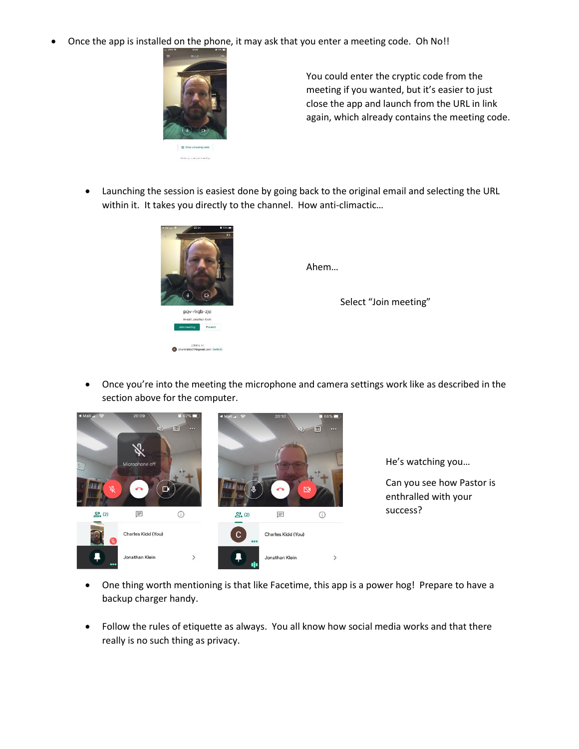• Once the app is installed on the phone, it may ask that you enter a meeting code. Oh No!!



You could enter the cryptic code from the meeting if you wanted, but it's easier to just close the app and launch from the URL in link again, which already contains the meeting code.

• Launching the session is easiest done by going back to the original email and selecting the URL within it. It takes you directly to the channel. How anti-climactic…



Ahem…

Select "Join meeting"

• Once you're into the meeting the microphone and camera settings work like as described in the section above for the computer.



He's watching you…

Can you see how Pastor is enthralled with your success?

- One thing worth mentioning is that like Facetime, this app is a power hog! Prepare to have a backup charger handy.
- Follow the rules of etiquette as always. You all know how social media works and that there really is no such thing as privacy.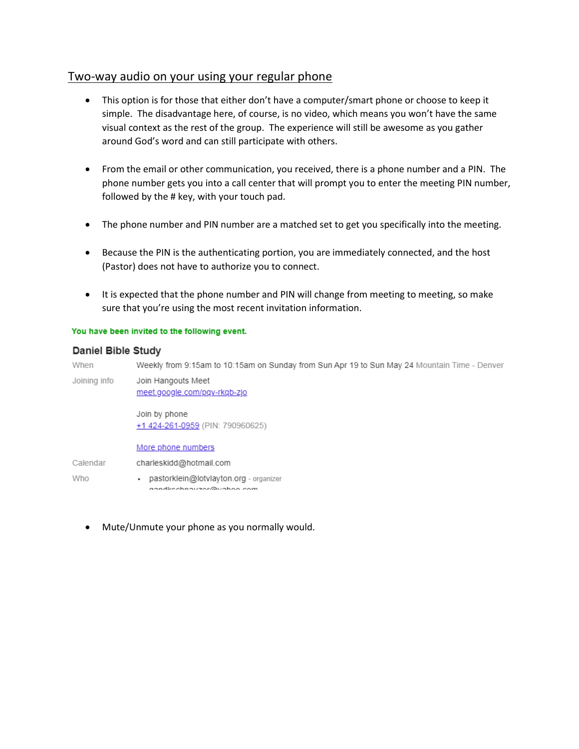# Two-way audio on your using your regular phone

- This option is for those that either don't have a computer/smart phone or choose to keep it simple. The disadvantage here, of course, is no video, which means you won't have the same visual context as the rest of the group. The experience will still be awesome as you gather around God's word and can still participate with others.
- From the email or other communication, you received, there is a phone number and a PIN. The phone number gets you into a call center that will prompt you to enter the meeting PIN number, followed by the # key, with your touch pad.
- The phone number and PIN number are a matched set to get you specifically into the meeting.
- Because the PIN is the authenticating portion, you are immediately connected, and the host (Pastor) does not have to authorize you to connect.
- It is expected that the phone number and PIN will change from meeting to meeting, so make sure that you're using the most recent invitation information.

## You have been invited to the following event.

## **Daniel Bible Study**

When Weekly from 9:15am to 10:15am on Sunday from Sun Apr 19 to Sun May 24 Mountain Time - Denver Joining info Join Hangouts Meet meet.google.com/pqv-rkqb-zjo Join by phone +1 424-261-0959 (PIN: 790960625) More phone numbers Calendar charleskidd@hotmail.com Who • pastorklein@lotvlayton.org - organizer aandkeebnauzor@uahoo.com

• Mute/Unmute your phone as you normally would.